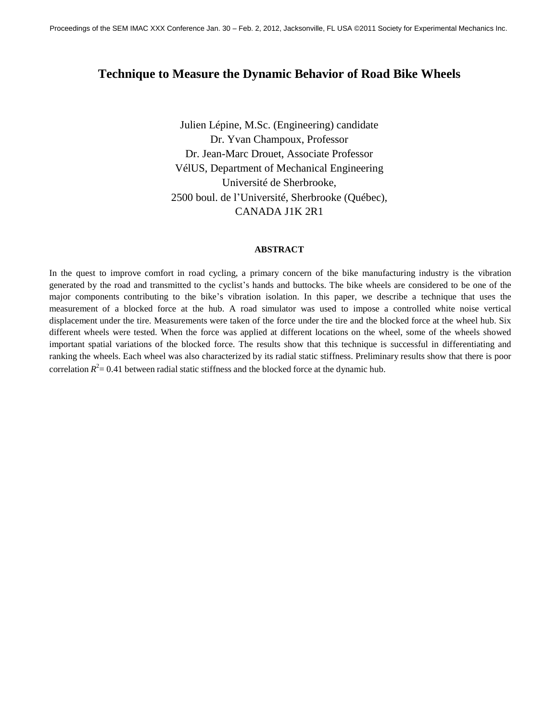# **Technique to Measure the Dynamic Behavior of Road Bike Wheels**

Julien Lépine, M.Sc. (Engineering) candidate Dr. Yvan Champoux, Professor Dr. Jean-Marc Drouet, Associate Professor VélUS, Department of Mechanical Engineering Université de Sherbrooke, 2500 boul. de l'Université, Sherbrooke (Québec), CANADA J1K 2R1

#### **ABSTRACT**

In the quest to improve comfort in road cycling, a primary concern of the bike manufacturing industry is the vibration generated by the road and transmitted to the cyclist's hands and buttocks. The bike wheels are considered to be one of the major components contributing to the bike's vibration isolation. In this paper, we describe a technique that uses the measurement of a blocked force at the hub. A road simulator was used to impose a controlled white noise vertical displacement under the tire. Measurements were taken of the force under the tire and the blocked force at the wheel hub. Six different wheels were tested. When the force was applied at different locations on the wheel, some of the wheels showed important spatial variations of the blocked force. The results show that this technique is successful in differentiating and ranking the wheels. Each wheel was also characterized by its radial static stiffness. Preliminary results show that there is poor correlation  $R^2$  = 0.41 between radial static stiffness and the blocked force at the dynamic hub.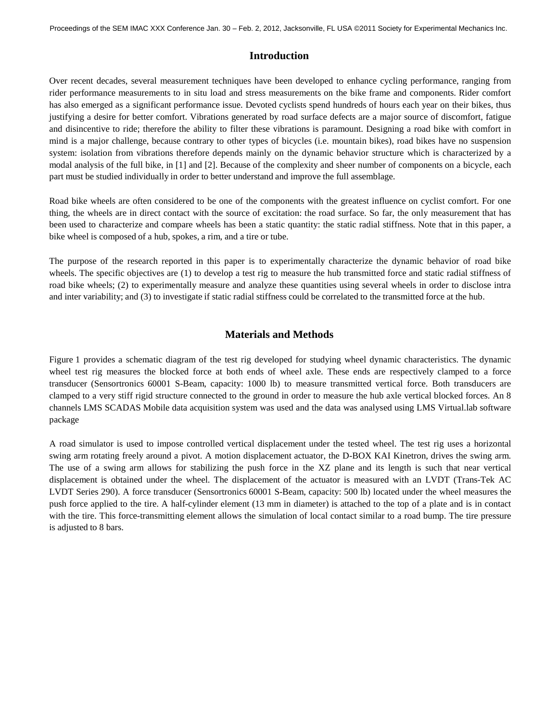### **Introduction**

Over recent decades, several measurement techniques have been developed to enhance cycling performance, ranging from rider performance measurements to in situ load and stress measurements on the bike frame and components. Rider comfort has also emerged as a significant performance issue. Devoted cyclists spend hundreds of hours each year on their bikes, thus justifying a desire for better comfort. Vibrations generated by road surface defects are a major source of discomfort, fatigue and disincentive to ride; therefore the ability to filter these vibrations is paramount. Designing a road bike with comfort in mind is a major challenge, because contrary to other types of bicycles (i.e. mountain bikes), road bikes have no suspension system: isolation from vibrations therefore depends mainly on the dynamic behavior structure which is characterized by a modal analysis of the full bike, in [1] and [2]. Because of the complexity and sheer number of components on a bicycle, each part must be studied individually in order to better understand and improve the full assemblage.

Road bike wheels are often considered to be one of the components with the greatest influence on cyclist comfort. For one thing, the wheels are in direct contact with the source of excitation: the road surface. So far, the only measurement that has been used to characterize and compare wheels has been a static quantity: the static radial stiffness. Note that in this paper, a bike wheel is composed of a hub, spokes, a rim, and a tire or tube.

The purpose of the research reported in this paper is to experimentally characterize the dynamic behavior of road bike wheels. The specific objectives are (1) to develop a test rig to measure the hub transmitted force and static radial stiffness of road bike wheels; (2) to experimentally measure and analyze these quantities using several wheels in order to disclose intra and inter variability; and (3) to investigate if static radial stiffness could be correlated to the transmitted force at the hub.

# **Materials and Methods**

Figure 1 provides a schematic diagram of the test rig developed for studying wheel dynamic characteristics. The dynamic wheel test rig measures the blocked force at both ends of wheel axle. These ends are respectively clamped to a force transducer (Sensortronics 60001 S-Beam, capacity: 1000 lb) to measure transmitted vertical force. Both transducers are clamped to a very stiff rigid structure connected to the ground in order to measure the hub axle vertical blocked forces. An 8 channels LMS SCADAS Mobile data acquisition system was used and the data was analysed using LMS Virtual.lab software package

A road simulator is used to impose controlled vertical displacement under the tested wheel. The test rig uses a horizontal swing arm rotating freely around a pivot. A motion displacement actuator, the D-BOX KAI Kinetron, drives the swing arm. The use of a swing arm allows for stabilizing the push force in the XZ plane and its length is such that near vertical displacement is obtained under the wheel. The displacement of the actuator is measured with an LVDT (Trans-Tek AC LVDT Series 290). A force transducer (Sensortronics 60001 S-Beam, capacity: 500 lb) located under the wheel measures the push force applied to the tire. A half-cylinder element (13 mm in diameter) is attached to the top of a plate and is in contact with the tire. This force-transmitting element allows the simulation of local contact similar to a road bump. The tire pressure is adjusted to 8 bars.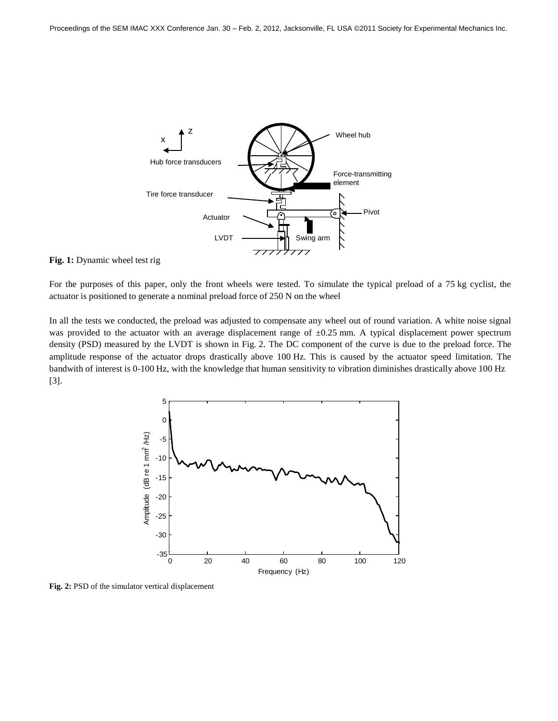

#### **Fig. 1:** Dynamic wheel test rig

For the purposes of this paper, only the front wheels were tested. To simulate the typical preload of a 75 kg cyclist, the actuator is positioned to generate a nominal preload force of 250 N on the wheel

In all the tests we conducted, the preload was adjusted to compensate any wheel out of round variation. A white noise signal was provided to the actuator with an average displacement range of  $\pm 0.25$  mm. A typical displacement power spectrum density (PSD) measured by the LVDT is shown in Fig. 2. The DC component of the curve is due to the preload force. The amplitude response of the actuator drops drastically above 100 Hz. This is caused by the actuator speed limitation. The bandwith of interest is 0-100 Hz, with the knowledge that human sensitivity to vibration diminishes drastically above 100 Hz [3].



**Fig. 2:** PSD of the simulator vertical displacement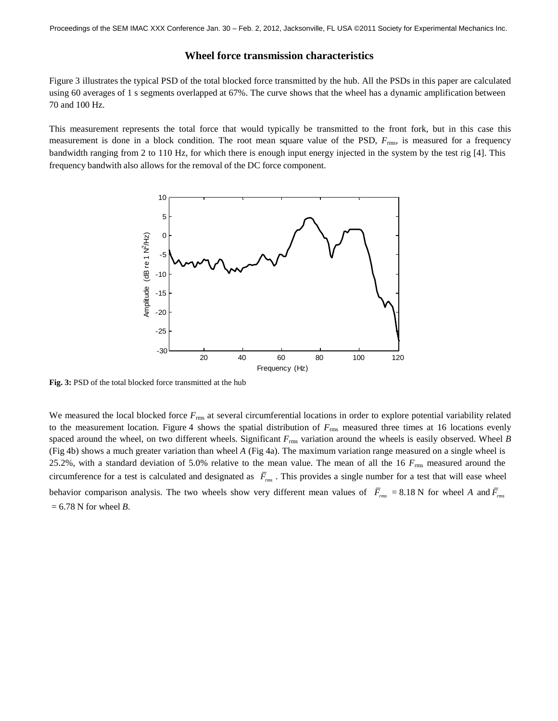### **Wheel force transmission characteristics**

Figure 3 illustrates the typical PSD of the total blocked force transmitted by the hub. All the PSDs in this paper are calculated using 60 averages of 1 s segments overlapped at 67%. The curve shows that the wheel has a dynamic amplification between 70 and 100 Hz.

This measurement represents the total force that would typically be transmitted to the front fork, but in this case this measurement is done in a block condition. The root mean square value of the PSD,  $F_{\text{rms}}$ , is measured for a frequency bandwidth ranging from 2 to 110 Hz, for which there is enough input energy injected in the system by the test rig [4]. This frequency bandwith also allows for the removal of the DC force component.



**Fig. 3:** PSD of the total blocked force transmitted at the hub

We measured the local blocked force  $F_{\text{rms}}$  at several circumferential locations in order to explore potential variability related to the measurement location. Figure 4 shows the spatial distribution of  $F_{\text{rms}}$  measured three times at 16 locations evenly spaced around the wheel, on two different wheels. Significant *F*rms variation around the wheels is easily observed. Wheel *B*  (Fig 4b) shows a much greater variation than wheel *A* (Fig 4a). The maximum variation range measured on a single wheel is 25.2%, with a standard deviation of 5.0% relative to the mean value. The mean of all the 16 *F*rms measured around the circumference for a test is calculated and designated as  $\bar{F}_{rms}$ . This provides a single number for a test that will ease wheel behavior comparison analysis. The two wheels show very different mean values of  $\bar{F}_{rms} = 8.18$  N for wheel *A* and  $\bar{F}_{rms}$  $= 6.78$  N for wheel *B*.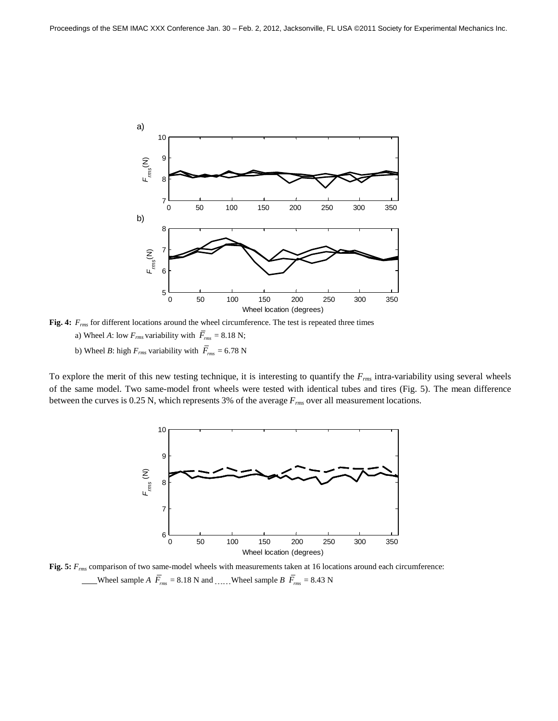

**Fig. 4:** *Frms* for different locations around the wheel circumference. The test is repeated three times a) Wheel *A*: low  $F_{rms}$  variability with  $\overline{F}_{rms} = 8.18$  N; b) Wheel *B*: high  $F_{rms}$  variability with  $\overline{F}_{rms} = 6.78$  N

To explore the merit of this new testing technique, it is interesting to quantify the *Frms* intra-variability using several wheels of the same model. Two same-model front wheels were tested with identical tubes and tires (Fig. 5). The mean difference between the curves is 0.25 N, which represents 3% of the average *Frms* over all measurement locations.



**Fig. 5:** *Frms* comparison of two same-model wheels with measurements taken at 16 locations around each circumference: Wheel sample *A*  $\overline{F}_{rms}$  = 8.18 N and \_\_\_\_\_ Wheel sample *B*  $\overline{F}_{rms}$  = 8.43 N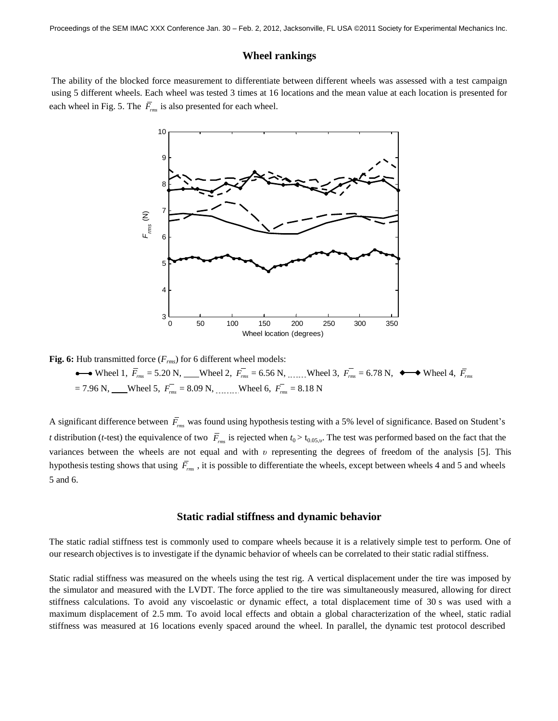Proceedings of the SEM IMAC XXX Conference Jan. 30 – Feb. 2, 2012, Jacksonville, FL USA ©2011 Society for Experimental Mechanics Inc.

### **Wheel rankings**

The ability of the blocked force measurement to differentiate between different wheels was assessed with a test campaign using 5 different wheels. Each wheel was tested 3 times at 16 locations and the mean value at each location is presented for each wheel in Fig. 5. The *Frms*  is also presented for each wheel.



**Fig. 6:** Hub transmitted force  $(F_{rms})$  for 6 different wheel models:

Wheel 1,  $\vec{F}_{rms} = 5.20 \text{ N}$ , Wheel 2,  $\vec{F}_{rms} = 6.56 \text{ N}$ , .......Wheel 3,  $\vec{F}_{rms} = 6.78 \text{ N}$ ,  $\leftrightarrow$  Wheel 4,  $\vec{F}_{rms}$  $= 7.96$  N, Wheel 5,  $F_{rms} = 8.09$  N, \_\_\_\_\_\_\_Wheel 6,  $F_{rms} = 8.18$  N

A significant difference between *Frms* was found using hypothesis testing with a 5% level of significance. Based on Student's *t* distribution (*t*-test) the equivalence of two  $\bar{F}_{rms}$  is rejected when  $t_0 > t_{0.05,\nu}$ . The test was performed based on the fact that the variances between the wheels are not equal and with *υ* representing the degrees of freedom of the analysis [5]. This hypothesis testing shows that using *Frms*  , it is possible to differentiate the wheels, except between wheels 4 and 5 and wheels 5 and 6.

#### **Static radial stiffness and dynamic behavior**

The static radial stiffness test is commonly used to compare wheels because it is a relatively simple test to perform. One of our research objectives is to investigate if the dynamic behavior of wheels can be correlated to their static radial stiffness.

Static radial stiffness was measured on the wheels using the test rig. A vertical displacement under the tire was imposed by the simulator and measured with the LVDT. The force applied to the tire was simultaneously measured, allowing for direct stiffness calculations. To avoid any viscoelastic or dynamic effect, a total displacement time of 30 s was used with a maximum displacement of 2.5 mm. To avoid local effects and obtain a global characterization of the wheel, static radial stiffness was measured at 16 locations evenly spaced around the wheel. In parallel, the dynamic test protocol described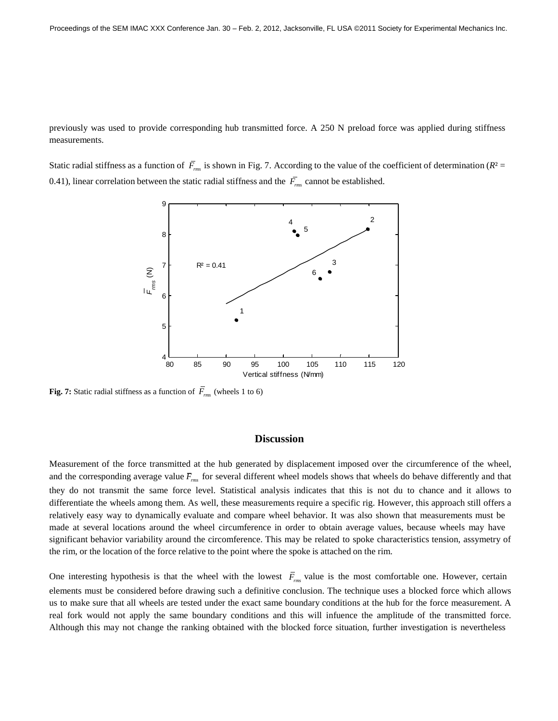previously was used to provide corresponding hub transmitted force. A 250 N preload force was applied during stiffness measurements.

Static radial stiffness as a function of  $F_{\text{rms}}$  is shown in Fig. 7. According to the value of the coefficient of determination ( $R^2$  = 0.41), linear correlation between the static radial stiffness and the *Frms*  cannot be established.



**Fig. 7:** Static radial stiffness as a function of *Frms*  (wheels 1 to 6)

### **Discussion**

Measurement of the force transmitted at the hub generated by displacement imposed over the circumference of the wheel, and the corresponding average value  $\overline{F}_{rms}$  for several different wheel models shows that wheels do behave differently and that they do not transmit the same force level. Statistical analysis indicates that this is not du to chance and it allows to differentiate the wheels among them. As well, these measurements require a specific rig. However, this approach still offers a relatively easy way to dynamically evaluate and compare wheel behavior. It was also shown that measurements must be made at several locations around the wheel circumference in order to obtain average values, because wheels may have significant behavior variability around the circomference. This may be related to spoke characteristics tension, assymetry of the rim, or the location of the force relative to the point where the spoke is attached on the rim.

One interesting hypothesis is that the wheel with the lowest  $\bar{F}_{\scriptscriptstyle{rms}}$  value is the most comfortable one. However, certain elements must be considered before drawing such a definitive conclusion. The technique uses a blocked force which allows us to make sure that all wheels are tested under the exact same boundary conditions at the hub for the force measurement. A real fork would not apply the same boundary conditions and this will infuence the amplitude of the transmitted force. Although this may not change the ranking obtained with the blocked force situation, further investigation is nevertheless